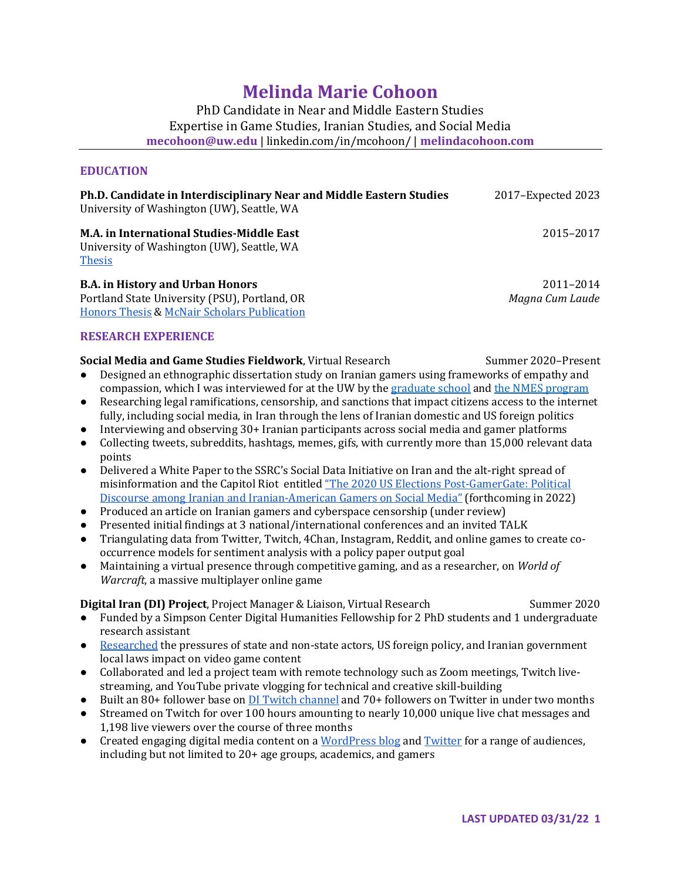# **Melinda Marie Cohoon**

PhD Candidate in Near and Middle Eastern Studies Expertise in Game Studies, Iranian Studies, and Social Media **mecohoon@uw.edu** | linkedin.com/in/mcohoon/ | **melindacohoon.com**

# **EDUCATION**

| Ph.D. Candidate in Interdisciplinary Near and Middle Eastern Studies<br>University of Washington (UW), Seattle, WA                      | 2017-Expected 2023           |
|-----------------------------------------------------------------------------------------------------------------------------------------|------------------------------|
| M.A. in International Studies-Middle East<br>University of Washington (UW), Seattle, WA<br><b>Thesis</b>                                | 2015-2017                    |
| <b>B.A. in History and Urban Honors</b><br>Portland State University (PSU), Portland, OR<br>Honors Thesis & McNair Scholars Publication | 2011-2014<br>Magna Cum Laude |

## **RESEARCH EXPERIENCE**

#### **Social Media and Game Studies Fieldwork**, Virtual Research Summer 2020–Present

- Designed an ethnographic dissertation study on Iranian gamers using frameworks of empathy and compassion, which I was interviewed for at the UW by th[e graduate school](https://grad.washington.edu/mindy-cohoon/) an[d the NMES program](https://sites.uw.edu/nmephd/2020/10/30/student-profile-melinda-cohoon-exploring-the-political-worlds-of-online-videogaming-between-iranian-gamers-and-the-2020-us-election/)
- Researching legal ramifications, censorship, and sanctions that impact citizens access to the internet fully, including social media, in Iran through the lens of Iranian domestic and US foreign politics
- Interviewing and observing 30+ Iranian participants across social media and gamer platforms
- Collecting tweets, subreddits, hashtags, memes, gifs, with currently more than 15,000 relevant data points
- Delivered a White Paper to the SSRC's Social Data Initiative on Iran and the alt-right spread of misinformation and the Capitol Riot entitled ["The 2020 US Elections Post](https://www.ssrc.org/grantees/the-2020-us-elections-post-gamergate-political-discourse-among-iranian-and-iranian-american-gamers-on-social-media/)-GamerGate: Political [Discourse among Iranian and Iranian-](https://www.ssrc.org/grantees/the-2020-us-elections-post-gamergate-political-discourse-among-iranian-and-iranian-american-gamers-on-social-media/)American Gamers on Social Media" (forthcoming in 2022)
- Produced an article on Iranian gamers and cyberspace censorship (under review)
- Presented initial findings at 3 national/international conferences and an invited TALK
- Triangulating data from Twitter, Twitch, 4Chan, Instagram, Reddit, and online games to create cooccurrence models for sentiment analysis with a policy paper output goal
- Maintaining a virtual presence through competitive gaming, and as a researcher, on *World of Warcraft*, a massive multiplayer online game

#### **Digital Iran (DI) Project**, Project Manager & Liaison, Virtual Research Summer 2020

- Funded by a Simpson Center Digital Humanities Fellowship for 2 PhD students and 1 undergraduate research assistant
- [Researched](http://iranianvideogames.com/cms/) the pressures of state and non-state actors, US foreign policy, and Iranian government local laws impact on video game content
- Collaborated and led a project team with remote technology such as Zoom meetings, Twitch livestreaming, and YouTube private vlogging for technical and creative skill-building
- Built an 80+ follower base on **DI Twitch channel and 70+ followers on Twitter in under two months**
- Streamed on Twitch for over 100 hours amounting to nearly 10,000 unique live chat messages and 1,198 live viewers over the course of three months
- Created engaging digital media content on [a WordPress blog](http://digitaliranproject.com/) an[d Twitter](https://twitter.com/IranDH_project) for a range of audiences, including but not limited to 20+ age groups, academics, and gamers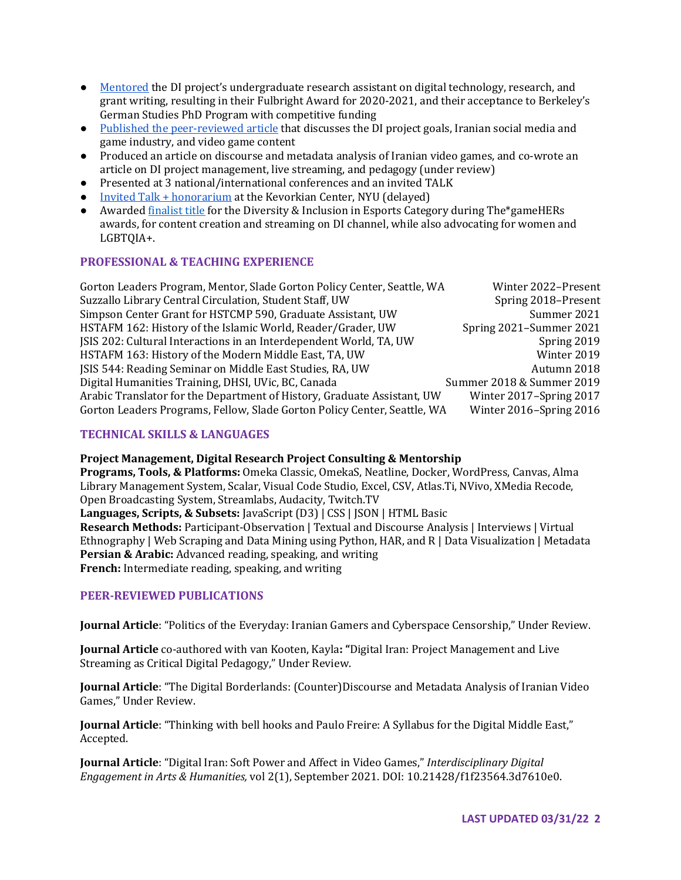- [Mentored](http://melindacohoon.com/my-uw-journey/) the DI project's undergraduate research assistant on digital technology, research, and grant writing, resulting in their Fulbright Award for 2020-2021, and their acceptance to Berkeley's German Studies PhD Program with competitive funding
- Published [the peer-reviewed](https://ideah.pubpub.org/pub/3dnzmywx/release/2) article that discusses the DI project goals, Iranian social media and game industry, and video game content
- Produced an article on discourse and metadata analysis of Iranian video games, and co-wrote an article on DI project management, live streaming, and pedagogy (under review)
- Presented at 3 national/international conferences and an invited TALK
- [Invited Talk + honorarium](https://www.facebook.com/nyukevo/photos/a.3568171686553042/3824762500893958/) at the Kevorkian Center, NYU (delayed)
- Awarde[d finalist title](https://thegamehers.com/finalists) for the Diversity & Inclusion in Esports Category during The\*gameHERs awards, for content creation and streaming on DI channel, while also advocating for women and LGBTQIA+.

# **PROFESSIONAL & TEACHING EXPERIENCE**

| Gorton Leaders Program, Mentor, Slade Gorton Policy Center, Seattle, WA  | Winter 2022-Present       |
|--------------------------------------------------------------------------|---------------------------|
| Suzzallo Library Central Circulation, Student Staff, UW                  | Spring 2018-Present       |
| Simpson Center Grant for HSTCMP 590, Graduate Assistant, UW              | Summer 2021               |
| HSTAFM 162: History of the Islamic World, Reader/Grader, UW              | Spring 2021-Summer 2021   |
| JSIS 202: Cultural Interactions in an Interdependent World, TA, UW       | Spring 2019               |
| HSTAFM 163: History of the Modern Middle East, TA, UW                    | Winter 2019               |
| JSIS 544: Reading Seminar on Middle East Studies, RA, UW                 | Autumn 2018               |
| Digital Humanities Training, DHSI, UVic, BC, Canada                      | Summer 2018 & Summer 2019 |
| Arabic Translator for the Department of History, Graduate Assistant, UW  | Winter 2017-Spring 2017   |
| Gorton Leaders Programs, Fellow, Slade Gorton Policy Center, Seattle, WA | Winter 2016-Spring 2016   |

# **TECHNICAL SKILLS & LANGUAGES**

# **Project Management, Digital Research Project Consulting & Mentorship**

**Programs, Tools, & Platforms:** Omeka Classic, OmekaS, Neatline, Docker, WordPress, Canvas, Alma Library Management System, Scalar, Visual Code Studio, Excel, CSV, Atlas.Ti, NVivo, XMedia Recode, Open Broadcasting System, Streamlabs, Audacity, Twitch.TV **Languages, Scripts, & Subsets:** JavaScript (D3) | CSS | JSON | HTML Basic **Research Methods:** Participant-Observation | Textual and Discourse Analysis | Interviews | Virtual Ethnography | Web Scraping and Data Mining using Python, HAR, and R | Data Visualization | Metadata **Persian & Arabic:** Advanced reading, speaking, and writing **French:** Intermediate reading, speaking, and writing

## **PEER-REVIEWED PUBLICATIONS**

**Journal Article**: "Politics of the Everyday: Iranian Gamers and Cyberspace Censorship," Under Review.

**Journal Article** co-authored with van Kooten, Kayla**: "**Digital Iran: Project Management and Live Streaming as Critical Digital Pedagogy," Under Review.

**Journal Article**: "The Digital Borderlands: (Counter)Discourse and Metadata Analysis of Iranian Video Games," Under Review.

**Journal Article**: "Thinking with bell hooks and Paulo Freire: A Syllabus for the Digital Middle East," Accepted.

**Journal Article**: "Digital Iran: Soft Power and Affect in Video Games," *Interdisciplinary Digital Engagement in Arts & Humanities,* vol 2(1), September 2021. DOI: 10.21428/f1f23564.3d7610e0.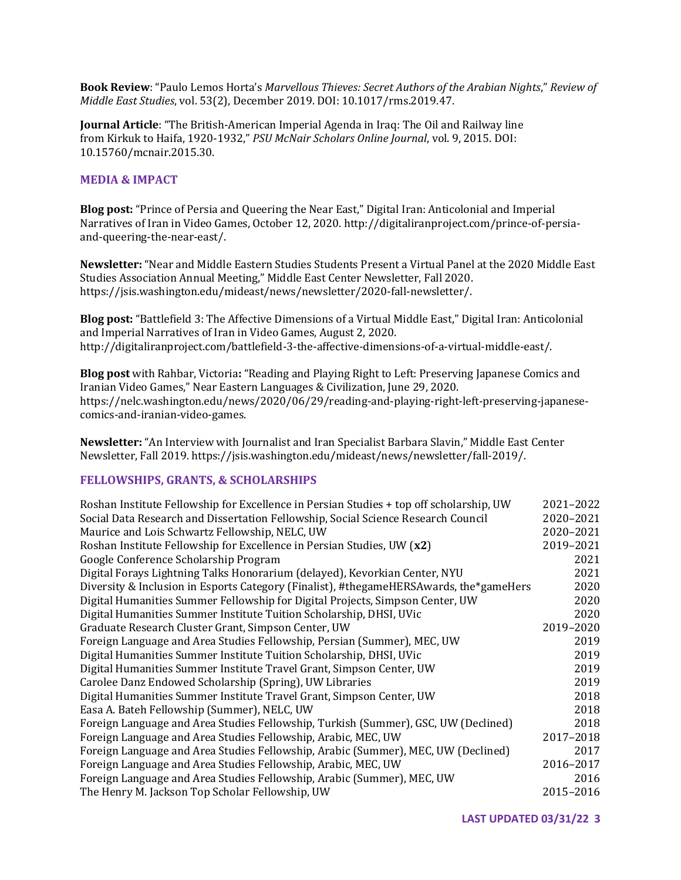**Book Review**: "Paulo Lemos Horta's *Marvellous Thieves: Secret Authors of the Arabian Nights*," *Review of Middle East Studies*, vol. 53(2), December 2019. DOI: 10.1017/rms.2019.47.

**Journal Article**: "The British-American Imperial Agenda in Iraq: The Oil and Railway line from Kirkuk to Haifa, 1920-1932," *PSU McNair Scholars Online Journal*, vol. 9, 2015. DOI: 10.15760/mcnair.2015.30.

## **MEDIA & IMPACT**

**Blog post:** "Prince of Persia and Queering the Near East," Digital Iran: Anticolonial and Imperial Narratives of Iran in Video Games, October 12, 2020. http://digitaliranproject.com/prince-of-persiaand-queering-the-near-east/.

**Newsletter:** "Near and Middle Eastern Studies Students Present a Virtual Panel at the 2020 Middle East Studies Association Annual Meeting," Middle East Center Newsletter, Fall 2020. https://jsis.washington.edu/mideast/news/newsletter/2020-fall-newsletter/.

**Blog post:** "Battlefield 3: The Affective Dimensions of a Virtual Middle East," Digital Iran: Anticolonial and Imperial Narratives of Iran in Video Games, August 2, 2020. http://digitaliranproject.com/battlefield-3-the-affective-dimensions-of-a-virtual-middle-east/.

**Blog post** with Rahbar, Victoria**:** "Reading and Playing Right to Left: Preserving Japanese Comics and Iranian Video Games," Near Eastern Languages & Civilization, June 29, 2020. https://nelc.washington.edu/news/2020/06/29/reading-and-playing-right-left-preserving-japanesecomics-and-iranian-video-games.

**Newsletter:** "An Interview with Journalist and Iran Specialist Barbara Slavin," Middle East Center Newsletter, Fall 2019. https://jsis.washington.edu/mideast/news/newsletter/fall-2019/.

#### **FELLOWSHIPS, GRANTS, & SCHOLARSHIPS**

| Roshan Institute Fellowship for Excellence in Persian Studies + top off scholarship, UW | 2021-2022 |
|-----------------------------------------------------------------------------------------|-----------|
| Social Data Research and Dissertation Fellowship, Social Science Research Council       | 2020-2021 |
| Maurice and Lois Schwartz Fellowship, NELC, UW                                          | 2020-2021 |
| Roshan Institute Fellowship for Excellence in Persian Studies, UW (x2)                  | 2019-2021 |
| Google Conference Scholarship Program                                                   | 2021      |
| Digital Forays Lightning Talks Honorarium (delayed), Kevorkian Center, NYU              | 2021      |
| Diversity & Inclusion in Esports Category (Finalist), #thegameHERSAwards, the*gameHers  | 2020      |
| Digital Humanities Summer Fellowship for Digital Projects, Simpson Center, UW           | 2020      |
| Digital Humanities Summer Institute Tuition Scholarship, DHSI, UVic                     | 2020      |
| Graduate Research Cluster Grant, Simpson Center, UW                                     | 2019-2020 |
| Foreign Language and Area Studies Fellowship, Persian (Summer), MEC, UW                 | 2019      |
| Digital Humanities Summer Institute Tuition Scholarship, DHSI, UVic                     | 2019      |
| Digital Humanities Summer Institute Travel Grant, Simpson Center, UW                    | 2019      |
| Carolee Danz Endowed Scholarship (Spring), UW Libraries                                 | 2019      |
| Digital Humanities Summer Institute Travel Grant, Simpson Center, UW                    | 2018      |
| Easa A. Bateh Fellowship (Summer), NELC, UW                                             | 2018      |
| Foreign Language and Area Studies Fellowship, Turkish (Summer), GSC, UW (Declined)      | 2018      |
| Foreign Language and Area Studies Fellowship, Arabic, MEC, UW                           | 2017-2018 |
| Foreign Language and Area Studies Fellowship, Arabic (Summer), MEC, UW (Declined)       | 2017      |
| Foreign Language and Area Studies Fellowship, Arabic, MEC, UW                           | 2016-2017 |
| Foreign Language and Area Studies Fellowship, Arabic (Summer), MEC, UW                  | 2016      |
| The Henry M. Jackson Top Scholar Fellowship, UW                                         | 2015-2016 |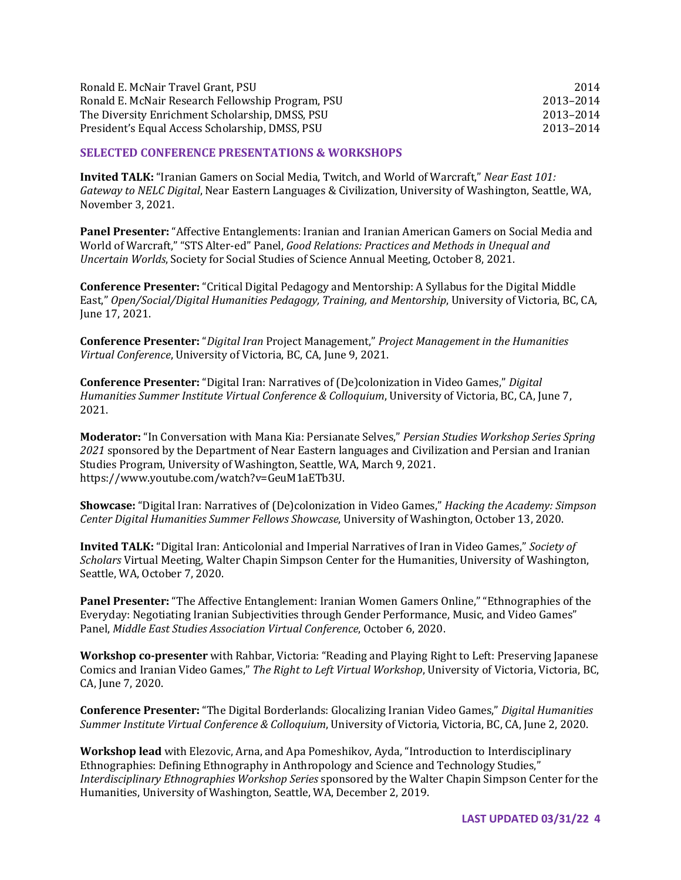| Ronald E. McNair Travel Grant, PSU                | 2014      |
|---------------------------------------------------|-----------|
| Ronald E. McNair Research Fellowship Program, PSU | 2013–2014 |
| The Diversity Enrichment Scholarship, DMSS, PSU   | 2013–2014 |
| President's Equal Access Scholarship, DMSS, PSU   | 2013–2014 |

#### **SELECTED CONFERENCE PRESENTATIONS & WORKSHOPS**

**Invited TALK:** "Iranian Gamers on Social Media, Twitch, and World of Warcraft," *Near East 101: Gateway to NELC Digital*, Near Eastern Languages & Civilization, University of Washington, Seattle, WA, November 3, 2021.

**Panel Presenter:** "Affective Entanglements: Iranian and Iranian American Gamers on Social Media and World of Warcraft," "STS Alter-ed" Panel, *Good Relations: Practices and Methods in Unequal and Uncertain Worlds*, Society for Social Studies of Science Annual Meeting, October 8, 2021.

**Conference Presenter:** "Critical Digital Pedagogy and Mentorship: A Syllabus for the Digital Middle East," *Open/Social/Digital Humanities Pedagogy, Training, and Mentorship*, University of Victoria, BC, CA, June 17, 2021.

**Conference Presenter:** "*Digital Iran* Project Management," *Project Management in the Humanities Virtual Conference*, University of Victoria, BC, CA, June 9, 2021.

**Conference Presenter:** "Digital Iran: Narratives of (De)colonization in Video Games," *Digital Humanities Summer Institute Virtual Conference & Colloquium*, University of Victoria, BC, CA, June 7, 2021.

**Moderator:** "In Conversation with Mana Kia: Persianate Selves," *Persian Studies Workshop Series Spring 2021* sponsored by the Department of Near Eastern languages and Civilization and Persian and Iranian Studies Program, University of Washington, Seattle, WA, March 9, 2021. https://www.youtube.com/watch?v=GeuM1aETb3U.

**Showcase:** "Digital Iran: Narratives of (De)colonization in Video Games," *Hacking the Academy: Simpson Center Digital Humanities Summer Fellows Showcase*, University of Washington, October 13, 2020.

**Invited TALK:** "Digital Iran: Anticolonial and Imperial Narratives of Iran in Video Games," *Society of Scholars* Virtual Meeting, Walter Chapin Simpson Center for the Humanities, University of Washington, Seattle, WA, October 7, 2020.

**Panel Presenter:** "The Affective Entanglement: Iranian Women Gamers Online," "Ethnographies of the Everyday: Negotiating Iranian Subjectivities through Gender Performance, Music, and Video Games" Panel, *Middle East Studies Association Virtual Conference*, October 6, 2020.

**Workshop co-presenter** with Rahbar, Victoria: "Reading and Playing Right to Left: Preserving Japanese Comics and Iranian Video Games," *The Right to Left Virtual Workshop*, University of Victoria, Victoria, BC, CA, June 7, 2020.

**Conference Presenter:** "The Digital Borderlands: Glocalizing Iranian Video Games," *Digital Humanities Summer Institute Virtual Conference & Colloquium*, University of Victoria, Victoria, BC, CA, June 2, 2020.

**Workshop lead** with Elezovic, Arna, and Apa Pomeshikov, Ayda, "Introduction to Interdisciplinary Ethnographies: Defining Ethnography in Anthropology and Science and Technology Studies," *Interdisciplinary Ethnographies Workshop Series* sponsored by the Walter Chapin Simpson Center for the Humanities, University of Washington, Seattle, WA, December 2, 2019.